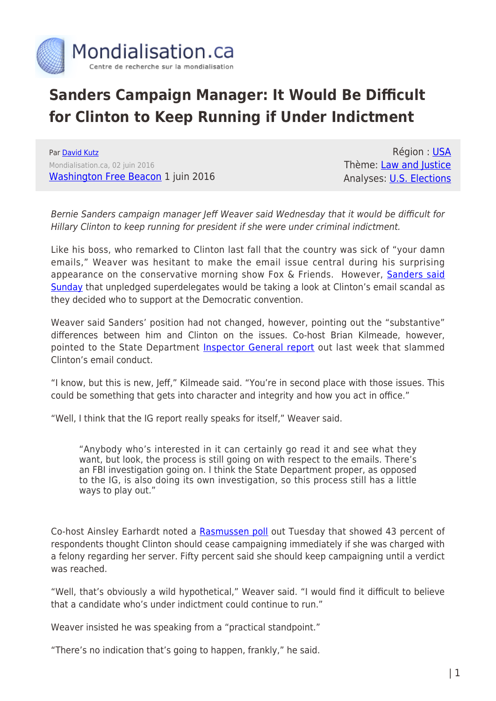

## **Sanders Campaign Manager: It Would Be Difficult for Clinton to Keep Running if Under Indictment**

Par [David Kutz](https://www.mondialisation.ca/author/david-kutz) Mondialisation.ca, 02 juin 2016 [Washington Free Beacon](http://freebeacon.com/politics/sanders-manager-difficult-clinton-running-indicted/) 1 juin 2016

Région : [USA](https://www.mondialisation.ca/region/usa) Thème: [Law and Justice](https://www.mondialisation.ca/theme/law-and-justice) Analyses: **[U.S. Elections](https://www.mondialisation.ca/indepthreport/u-s-elections)** 

Bernie Sanders campaign manager Jeff Weaver said Wednesday that it would be difficult for Hillary Clinton to keep running for president if she were under criminal indictment.

Like his boss, who remarked to Clinton last fall that the country was sick of "your damn emails," Weaver was hesitant to make the email issue central during his surprising appearance on the conservative morning show Fox & Friends. However, [Sanders said](http://freebeacon.com/politics/sanders-clinton-email-scandal-superdelegates-keep-mind/) [Sunday](http://freebeacon.com/politics/sanders-clinton-email-scandal-superdelegates-keep-mind/) that unpledged superdelegates would be taking a look at Clinton's email scandal as they decided who to support at the Democratic convention.

Weaver said Sanders' position had not changed, however, pointing out the "substantive" differences between him and Clinton on the issues. Co-host Brian Kilmeade, however, pointed to the State Department [Inspector General report](http://freebeacon.com/politics/abc-damning-ig-report-comes-bad-time-clinton-deals-trust-issues/) out last week that slammed Clinton's email conduct.

"I know, but this is new, Jeff," Kilmeade said. "You're in second place with those issues. This could be something that gets into character and integrity and how you act in office."

"Well, I think that the IG report really speaks for itself," Weaver said.

"Anybody who's interested in it can certainly go read it and see what they want, but look, the process is still going on with respect to the emails. There's an FBI investigation going on. I think the State Department proper, as opposed to the IG, is also doing its own investigation, so this process still has a little ways to play out."

Co-host Ainsley Earhardt noted a [Rasmussen poll](http://www.rasmussenreports.com/public_content/politics/general_politics/may_2016/50_say_clinton_should_keep_running_even_if_indicted) out Tuesday that showed 43 percent of respondents thought Clinton should cease campaigning immediately if she was charged with a felony regarding her server. Fifty percent said she should keep campaigning until a verdict was reached.

"Well, that's obviously a wild hypothetical," Weaver said. "I would find it difficult to believe that a candidate who's under indictment could continue to run."

Weaver insisted he was speaking from a "practical standpoint."

"There's no indication that's going to happen, frankly," he said.